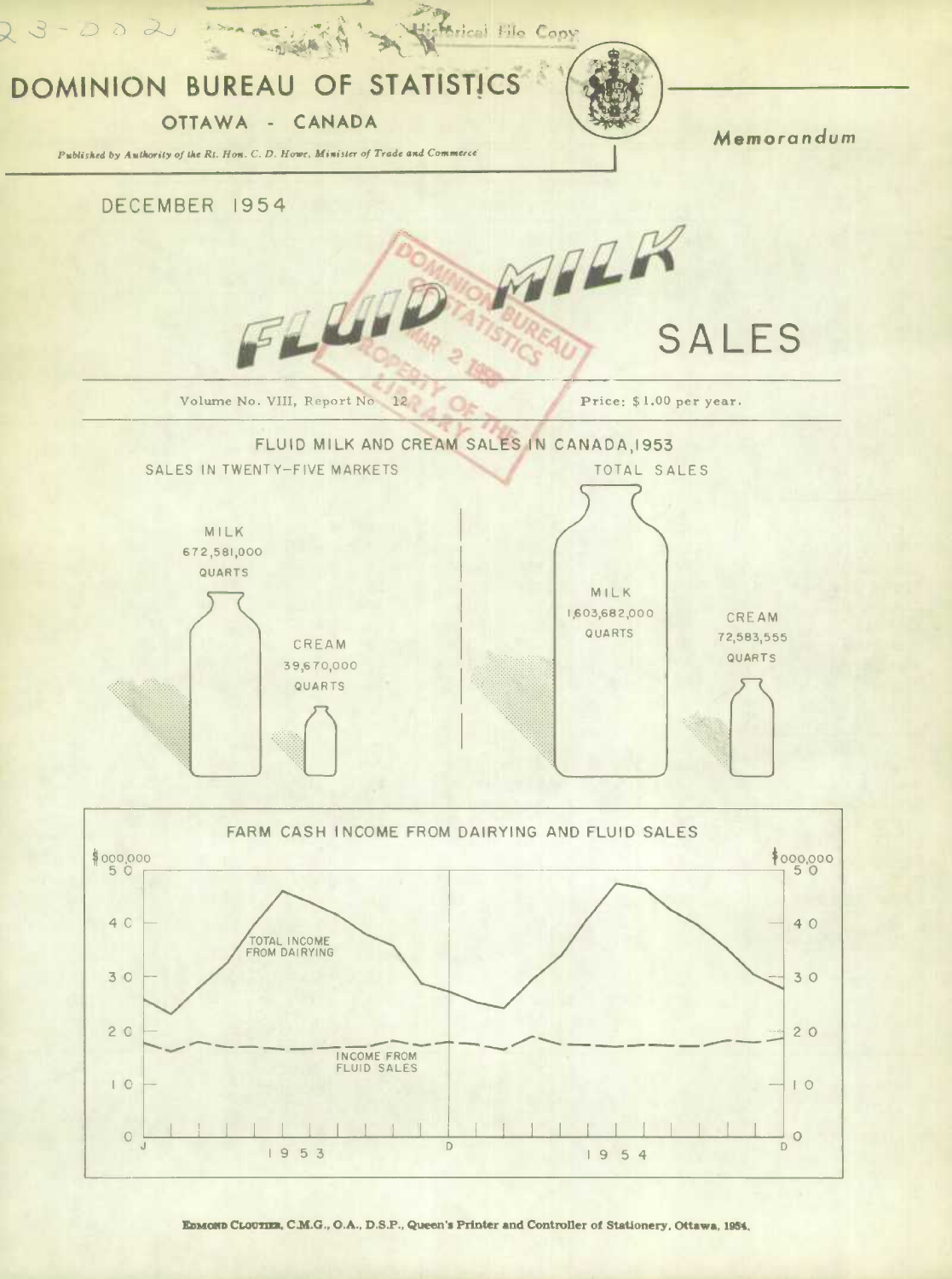

EDMOND CLOUTIER, C.M.G., O.A., D.S.P., Queen's Printer and Controller of Stationery, Ottawa, 1954.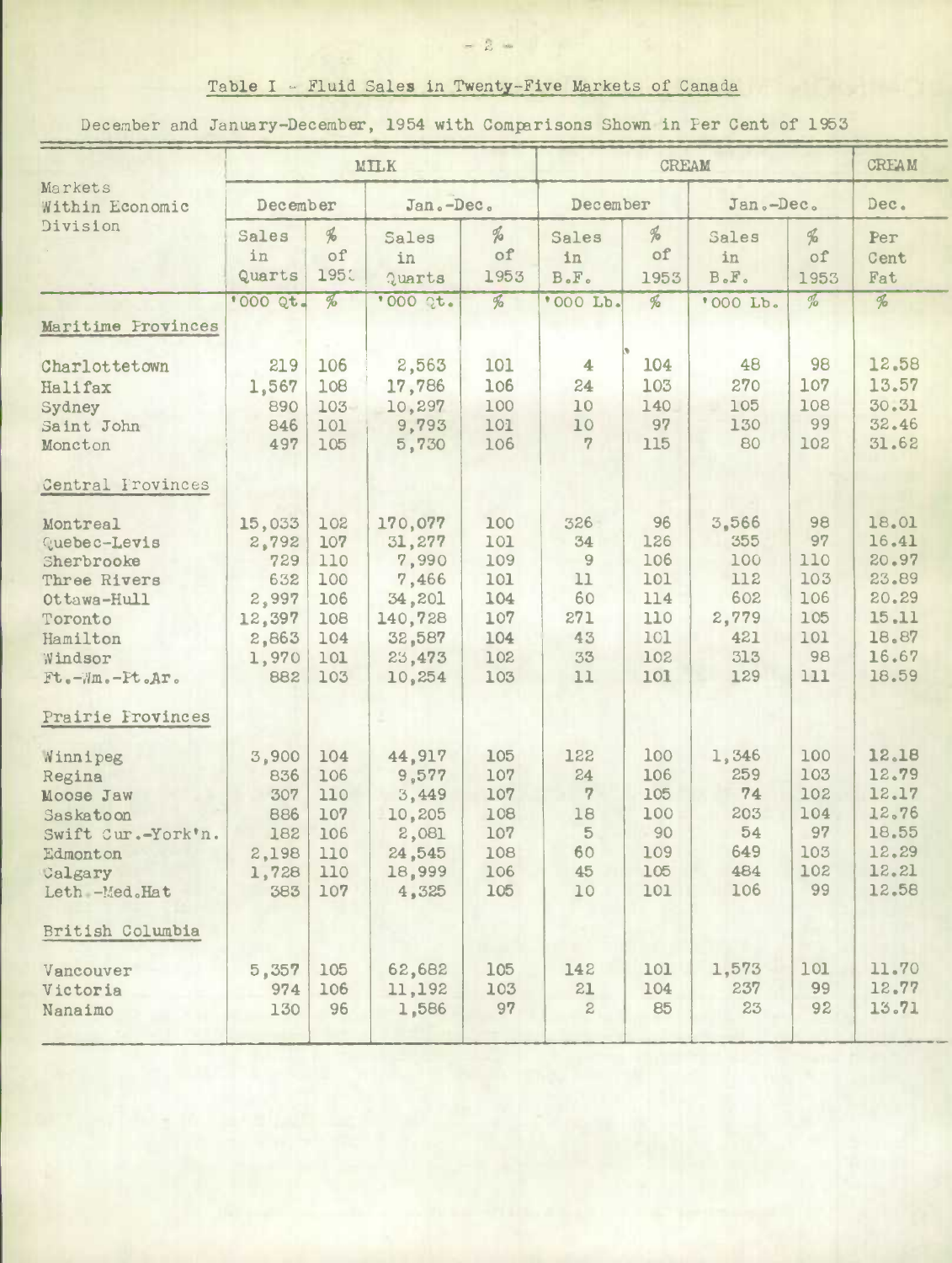## Table I - Fluid Sales in Twenty-Five Markets of Canada

December and January-December, 1954 with Comparisons Shown in Per Cent of 1953

| Markets<br>Within Economic<br>Division                                                                                                                               | MILK                                                                      |                                                             |                                                                                        |                                                             |                                                            | <b>CREAM</b>                                               |                                                                 |                                                          |                                                                               |
|----------------------------------------------------------------------------------------------------------------------------------------------------------------------|---------------------------------------------------------------------------|-------------------------------------------------------------|----------------------------------------------------------------------------------------|-------------------------------------------------------------|------------------------------------------------------------|------------------------------------------------------------|-----------------------------------------------------------------|----------------------------------------------------------|-------------------------------------------------------------------------------|
|                                                                                                                                                                      | December                                                                  |                                                             | Jan.-Dec.                                                                              |                                                             | December                                                   |                                                            | Jan.-Dec.                                                       |                                                          | Dec.                                                                          |
|                                                                                                                                                                      | Sales<br>in<br>Quarts                                                     | $\frac{d}{d}$<br>of<br>1951                                 | Sales<br>in<br>Quarts                                                                  | H<br>of<br>1953                                             | Sales<br>in<br>$B \cdot F \cdot$                           | %<br>of<br>1953                                            | Sales<br>in<br>$B \cdot F \cdot$                                | ‰<br>of<br>1953                                          | Per<br>Cent<br>Fat                                                            |
|                                                                                                                                                                      | '000 Qt.                                                                  | $\frac{1}{2}$                                               | '000 2t.                                                                               | $\frac{d}{d}$                                               | '000 Lb.                                                   | $\frac{1}{2}$                                              | '000 Lb.                                                        | $\frac{d}{d}$                                            | $\overline{\mathscr{E}}$                                                      |
| Maritime Provinces                                                                                                                                                   |                                                                           |                                                             |                                                                                        |                                                             |                                                            |                                                            |                                                                 |                                                          |                                                                               |
| Charlottetown<br>Halifax<br>Sydney<br>Saint John<br>Moncton                                                                                                          | 219<br>1,567<br>890<br>846<br>497                                         | 106<br>108<br>103<br>101<br>105                             | 2,563<br>17,786<br>10,297<br>9,793<br>5,730                                            | 101<br>106<br>100<br>101<br>106                             | $\overline{\mathbf{4}}$<br>24<br>10<br>10<br>7             | 104<br>103<br>140<br>97<br>115                             | 48<br>270<br>105<br>130<br>80                                   | 98<br>107<br>108<br>99<br>102                            | 12.58<br>13.57<br>30.31<br>32.46<br>31.62                                     |
| Central Frovinces                                                                                                                                                    |                                                                           |                                                             |                                                                                        |                                                             |                                                            |                                                            |                                                                 |                                                          |                                                                               |
| Montreal<br>Quebec-Levis<br>Sherbrooke<br>Three Rivers<br>Ottawa-Hull<br>Toronto<br>Hamilton<br>Windsor<br>$Ft$ .- $\forall m$ .- $Ft$ . $Ar$ .<br>Prairie Frovinces | 15,033<br>2,792<br>729<br>632<br>2,997<br>12,397<br>2,863<br>1,970<br>882 | 102<br>107<br>110<br>100<br>106<br>108<br>104<br>101<br>103 | 170,077<br>31,277<br>7,990<br>7,466<br>34,201<br>140,728<br>32,587<br>23,473<br>10,254 | 100<br>101<br>109<br>101<br>104<br>107<br>104<br>102<br>103 | 326<br>34<br>$\Theta$<br>11<br>60<br>271<br>43<br>33<br>11 | 96<br>126<br>106<br>101<br>114<br>110<br>101<br>102<br>101 | 3,566<br>355<br>100<br>112<br>602<br>2,779<br>421<br>313<br>129 | 98<br>97<br>110<br>103<br>106<br>105<br>101<br>98<br>111 | 18.01<br>16.41<br>20.97<br>23.89<br>20.29<br>15.11<br>18.87<br>16.67<br>18.59 |
| Winnipeg<br>Regina<br>Moose Jaw<br>Saskatoon<br>Swift Cur.-York'n.<br>Edmonton<br>Calgary<br>Leth -Med.Hat                                                           | 3,900<br>836<br>307<br>886<br>182<br>2,198<br>1,728<br>383                | 104<br>106<br>110<br>107<br>106<br>110<br>110<br>107        | 44,917<br>9,577<br>3,449<br>10,205<br>2,081<br>24,545<br>18,999<br>4,325               | 105<br>107<br>107<br>108<br>107<br>108<br>106<br>105        | 122<br>24<br>7<br>18<br>5<br>60<br>45<br>10                | 100<br>106<br>105<br>100<br>90<br>109<br>105<br>101        | 1,346<br>259<br>74<br>203<br>54<br>649<br>484<br>106            | 100<br>103<br>102<br>104<br>97<br>103<br>102<br>99       | 12.18<br>12.79<br>12.17<br>12.76<br>18.55<br>12.29<br>12.21<br>12.58          |
| British Columbia<br>Vancouver<br>Victoria<br>Nanaimo                                                                                                                 | 5,357<br>974<br>130                                                       | 105<br>106<br>96                                            | 62,682<br>11,192<br>1,586                                                              | 105<br>103<br>97                                            | 142<br>21<br>$\mathbf{z}$                                  | 101<br>104<br>85                                           | 1,573<br>237<br>23                                              | 101<br>99<br>92                                          | 11.70<br>12.77<br>13.71                                                       |

 $= 2 -$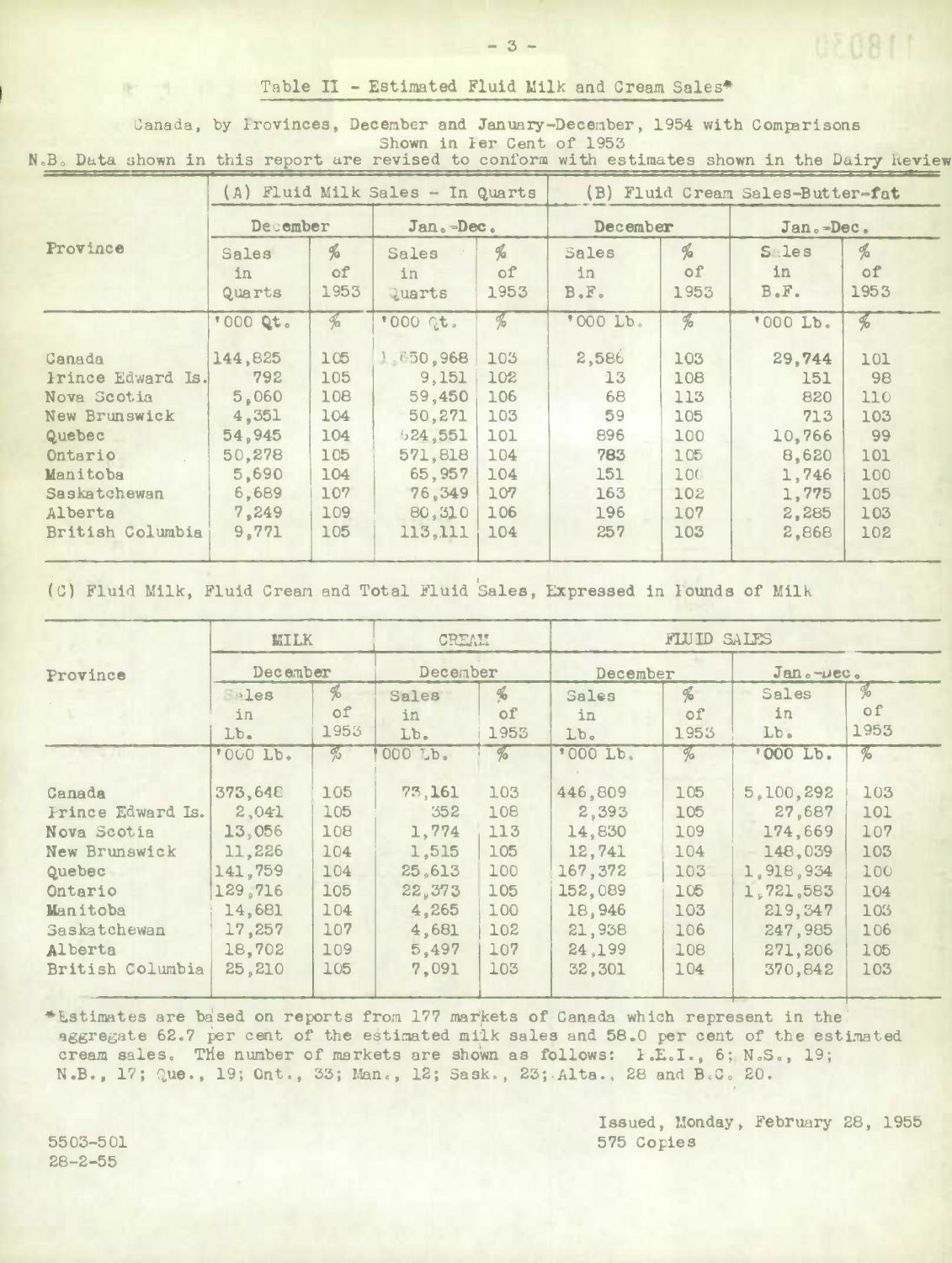## Table II - Estimated Fluid Milk and Cream Sales\*

Canada, by Provinces, December and January-December, 1954 with Comparisons Shown in Per Cent of 1953

N.B. Data shown in this report are revised to conform with estimates shown in the Dairy Review

|                   | (A) Fluid Milk Sales - In Quarts |                 |                              |                             | (B) Fluid Cream Sales-Butter-fat |                          |                                   |                             |  |
|-------------------|----------------------------------|-----------------|------------------------------|-----------------------------|----------------------------------|--------------------------|-----------------------------------|-----------------------------|--|
|                   | December                         |                 | Jan.-Dec.                    |                             | December                         |                          | $Jan. = Dec.$                     |                             |  |
| Province          | Sales<br>in.<br>Quarts           | %<br>of<br>1953 | Sales<br>in<br><b>luarts</b> | $\frac{d}{2}$<br>of<br>1953 | Sales<br>in<br>$B \cdot F \cdot$ | $\%$<br>of<br>1953       | $S$ : les<br>in.<br>$B \cdot F$ . | $\frac{d}{d}$<br>of<br>1953 |  |
|                   | "000 Qt.                         | $\frac{a}{2}$   | *000 Qt.                     | $\frac{d}{d}$               | '000 Lb.                         | $\overline{\mathcal{A}}$ | '000 Lb.                          | $\frac{d}{2}$               |  |
| Canada            | 144,825                          | 105             | 1.650,968                    | 103                         | 2,586                            | 103                      | 29,744                            | 101                         |  |
| Prince Edward Is. | 792                              | 105             | 9,151                        | 102                         | 13                               | 108                      | 151                               | 98                          |  |
| Nova Scotia       | 5,060                            | 108             | 59.450                       | 106                         | 68                               | 113                      | 820                               | 110                         |  |
| New Brunswick     | 4,351                            | 104             | 50,271                       | 103                         | 59                               | 105                      | 713                               | 103                         |  |
| Quebec            | 54,945                           | 104             | 524,551                      | 101                         | 896                              | 100                      | 10,766                            | 99                          |  |
| Ontario           | 50,278                           | 105             | 571,818                      | 104                         | 783                              | 105                      | 8,620                             | 101                         |  |
| Manitoba          | 5,690                            | 104             | 65,957                       | 104                         | 151                              | 100                      | 1,746                             | 100                         |  |
| Saskatchewan      | 6,689                            | 107             | 76.349                       | 107                         | 163                              | 102                      | 1,775                             | 105                         |  |
| Alberta           | 7,249                            | 109             | 80,310                       | 106                         | 196                              | 107                      | 2,285                             | 103                         |  |
| British Columbia  | 9,771                            | 105             | 113.111                      | 104                         | 257                              | 103                      | 2,868                             | 102                         |  |

(C) Fluid Milk, Fluid Cream and Total Fluid Sales, Expressed in Founds of Milk

|                   | <b>MILK</b><br>December |                                     | CREAM<br>December |               | FLUID SALES     |               |              |      |  |
|-------------------|-------------------------|-------------------------------------|-------------------|---------------|-----------------|---------------|--------------|------|--|
| Province          |                         |                                     |                   |               | December        |               | $Jan. -Dec.$ |      |  |
|                   | $e^{a}$                 | $\frac{d}{2}$                       | Sales             | $\frac{d}{d}$ | Sales           | $\frac{d}{2}$ | Sales        | $\%$ |  |
|                   | in                      | of                                  | in                | οf            | in              | of            | in           | of   |  |
|                   | $Lb$ .                  | 1953                                | Lb.               | 1953          | Lb <sub>o</sub> | 1953          | Lb.          | 1953 |  |
|                   | '000 Lb.                | $\frac{\partial}{\partial \varphi}$ | 000 Lb.           | $\%$          | '000 Lb.        | %             | '000 Lb.     | $\%$ |  |
| Canada            | 373,648                 | 105                                 | 73,161            | 103           | 446,809         | 105           | 5,100,292    | 103  |  |
| Frince Edward Is. | 2,041                   | 105                                 | 352               | 108           | 2,393           | 105           | 27,687       | 101  |  |
| Nova Scotia       | 13,056                  | 108                                 | 1,774             | 113           | 14,830          | 109           | 174,669      | 107  |  |
| New Brunswick     | 11,226                  | 104                                 | 1,515             | 105           | 12,741          | 104           | 148,039      | 103  |  |
| Quebec            | 141,759                 | 104                                 | 25.613            | 100           | 167,372         | 103           | 1,918,934    | 100  |  |
| Ontario           | 129,716                 | 105                                 | 22,373            | 105           | 152,089         | 105           | 1.721.583    | 104  |  |
| Manitoba          | 14,681                  | 104                                 | 4,265             | 100           | 18,946          | 103           | 219,347      | 103  |  |
| Saskatchewan      | 17,257                  | 107                                 | 4,681             | 102           | 21,938          | 106           | 247,985      | 106  |  |
| Alberta           | 18,702                  | 109                                 | 5,497             | 107           | 24,199          | 108           | 271,206      | 105  |  |
| British Columbia  | 25,210                  | 105                                 | 7,091             | 103           | 32,301          | 104           | 370.842      | 103  |  |

\*Estimates are based on reports from 177 markets of Canada which represent in the aggregate 62.7 per cent of the estimated milk sales and 58.0 per cent of the estimated cream sales. The number of markets are shown as follows: F.E.I., 6; N.S., 19; N.B., 17; Que., 19; Ont., 33; Man., 12; Sask., 23; Alta., 28 and B.C. 20.

> Issued, Monday, February 28, 1955 575 Copies

5503-501  $28 - 2 - 55$